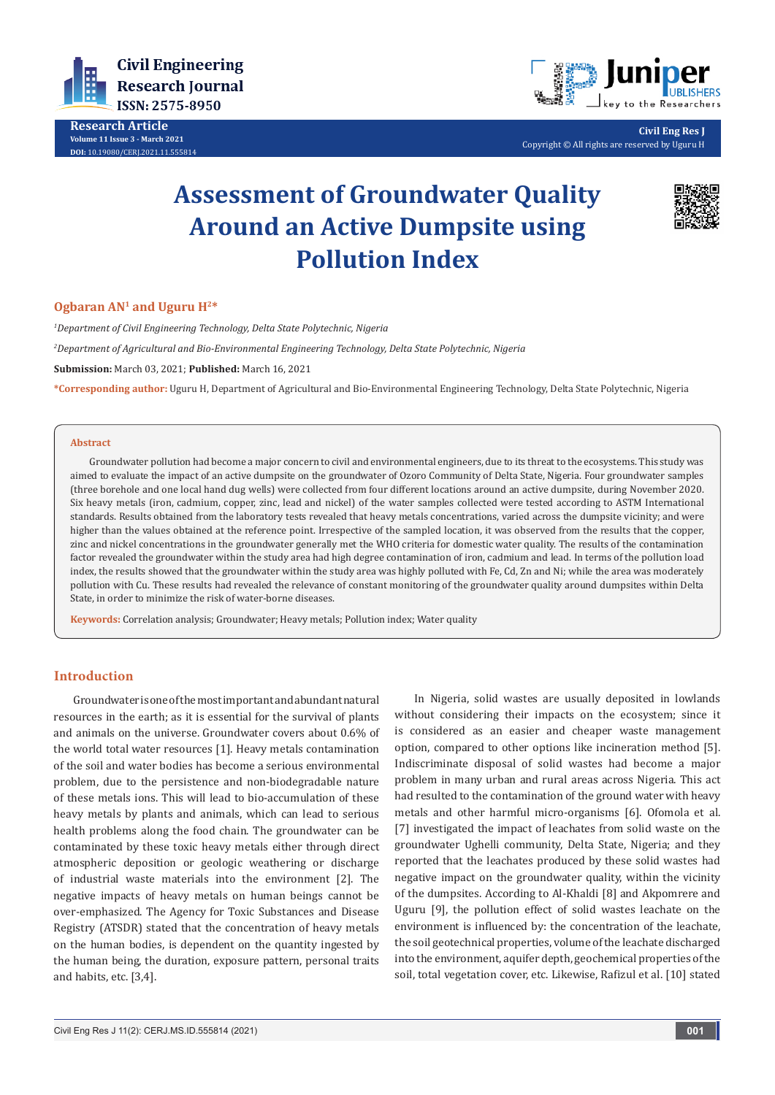



without considering their impacts on the ecosystem; since it is considered as an easier and cheaper waste management option, compared to other options like incineration method [5]. Indiscriminate disposal of solid wastes had become a major problem in many urban and rural areas across Nigeria. This act had resulted to the contamination of the ground water with heavy metals and other harmful micro-organisms [6]. Ofomola et al. [7] investigated the impact of leachates from solid waste on the groundwater Ughelli community, Delta State, Nigeria; and they reported that the leachates produced by these solid wastes had negative impact on the groundwater quality, within the vicinity of the dumpsites. According to Al-Khaldi [8] and Akpomrere and Uguru [9], the pollution effect of solid wastes leachate on the environment is influenced by: the concentration of the leachate, the soil geotechnical properties, volume of the leachate discharged into the environment, aquifer depth, geochemical properties of the soil, total vegetation cover, etc. Likewise, Rafizul et al. [10] stated

In Nigeria, solid wastes are usually deposited in lowlands

**Ogbaran AN1 and Uguru H2\***

*1 Department of Civil Engineering Technology, Delta State Polytechnic, Nigeria*

**Assessment of Groundwater Quality** 

**Around an Active Dumpsite using** 

**Pollution Index**

#### **Abstract**

Groundwater pollution had become a major concern to civil and environmental engineers, due to its threat to the ecosystems. This study was aimed to evaluate the impact of an active dumpsite on the groundwater of Ozoro Community of Delta State, Nigeria. Four groundwater samples (three borehole and one local hand dug wells) were collected from four different locations around an active dumpsite, during November 2020. Six heavy metals (iron, cadmium, copper, zinc, lead and nickel) of the water samples collected were tested according to ASTM International standards. Results obtained from the laboratory tests revealed that heavy metals concentrations, varied across the dumpsite vicinity; and were higher than the values obtained at the reference point. Irrespective of the sampled location, it was observed from the results that the copper, zinc and nickel concentrations in the groundwater generally met the WHO criteria for domestic water quality. The results of the contamination factor revealed the groundwater within the study area had high degree contamination of iron, cadmium and lead. In terms of the pollution load index, the results showed that the groundwater within the study area was highly polluted with Fe, Cd, Zn and Ni; while the area was moderately pollution with Cu. These results had revealed the relevance of constant monitoring of the groundwater quality around dumpsites within Delta State, in order to minimize the risk of water-borne diseases.

**Keywords:** Correlation analysis; Groundwater; Heavy metals; Pollution index; Water quality

*2 Department of Agricultural and Bio-Environmental Engineering Technology, Delta State Polytechnic, Nigeria*

**Submission:** March 03, 2021; **Published:** March 16, 2021

**\*Corresponding author:** Uguru H, Department of Agricultural and Bio-Environmental Engineering Technology, Delta State Polytechnic, Nigeria

# **Civil Engineering Research Journal** ISSN: 2575-8950

**Research Article Volume 11 Issue 3 - March 2021 DOI:** [10.19080/CERJ.2021.11.555](http://dx.doi.org/10.19080/CERJ.2021.11.555814)814



**Civil Eng Res J** Copyright © All rights are reserved by Uguru H

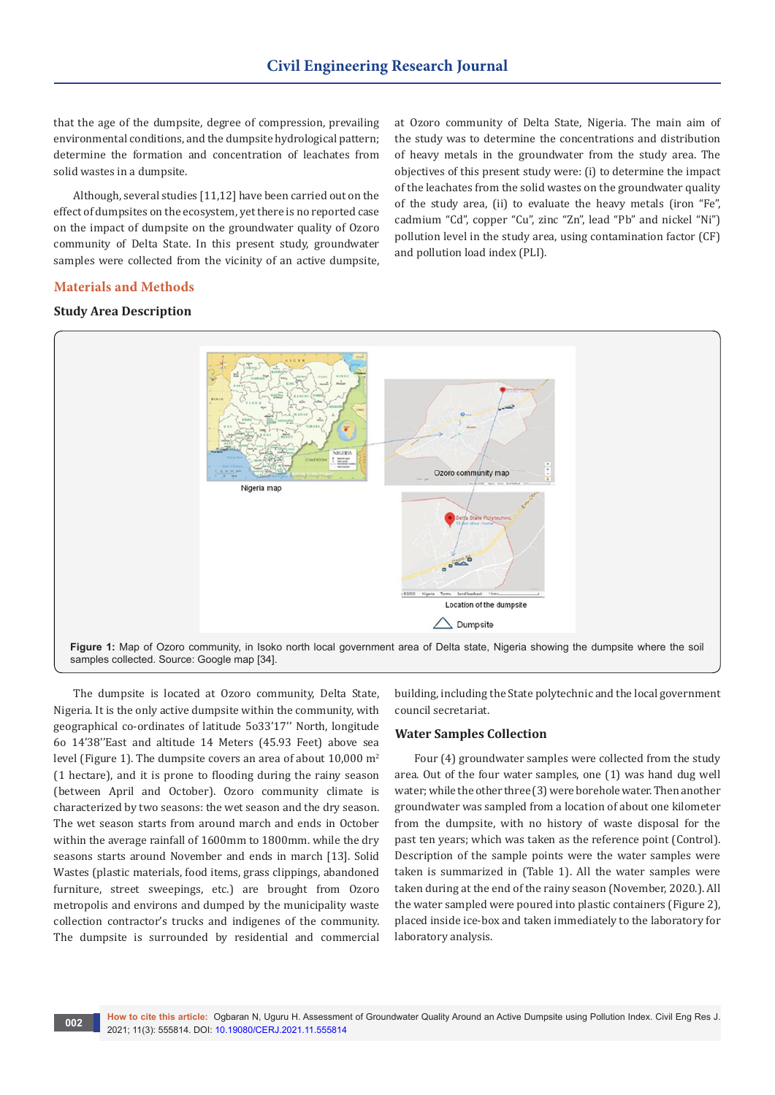that the age of the dumpsite, degree of compression, prevailing environmental conditions, and the dumpsite hydrological pattern; determine the formation and concentration of leachates from solid wastes in a dumpsite.

Although, several studies [11,12] have been carried out on the effect of dumpsites on the ecosystem, yet there is no reported case on the impact of dumpsite on the groundwater quality of Ozoro community of Delta State. In this present study, groundwater samples were collected from the vicinity of an active dumpsite,

at Ozoro community of Delta State, Nigeria. The main aim of the study was to determine the concentrations and distribution of heavy metals in the groundwater from the study area. The objectives of this present study were: (i) to determine the impact of the leachates from the solid wastes on the groundwater quality of the study area, (ii) to evaluate the heavy metals (iron "Fe", cadmium "Cd", copper "Cu", zinc "Zn", lead "Pb" and nickel "Ni") pollution level in the study area, using contamination factor (CF) and pollution load index (PLI).

#### **Materials and Methods**

### **Study Area Description**



The dumpsite is located at Ozoro community, Delta State, Nigeria. It is the only active dumpsite within the community, with geographical co-ordinates of latitude 5o33'17'' North, longitude 6o 14'38''East and altitude 14 Meters (45.93 Feet) above sea level (Figure 1). The dumpsite covers an area of about  $10,000 \text{ m}^2$ (1 hectare), and it is prone to flooding during the rainy season (between April and October). Ozoro community climate is characterized by two seasons: the wet season and the dry season. The wet season starts from around march and ends in October within the average rainfall of 1600mm to 1800mm. while the dry seasons starts around November and ends in march [13]. Solid Wastes (plastic materials, food items, grass clippings, abandoned furniture, street sweepings, etc.) are brought from Ozoro metropolis and environs and dumped by the municipality waste collection contractor's trucks and indigenes of the community. The dumpsite is surrounded by residential and commercial

building, including the State polytechnic and the local government council secretariat.

#### **Water Samples Collection**

Four (4) groundwater samples were collected from the study area. Out of the four water samples, one (1) was hand dug well water; while the other three (3) were borehole water. Then another groundwater was sampled from a location of about one kilometer from the dumpsite, with no history of waste disposal for the past ten years; which was taken as the reference point (Control). Description of the sample points were the water samples were taken is summarized in (Table 1). All the water samples were taken during at the end of the rainy season (November, 2020.). All the water sampled were poured into plastic containers (Figure 2), placed inside ice-box and taken immediately to the laboratory for laboratory analysis.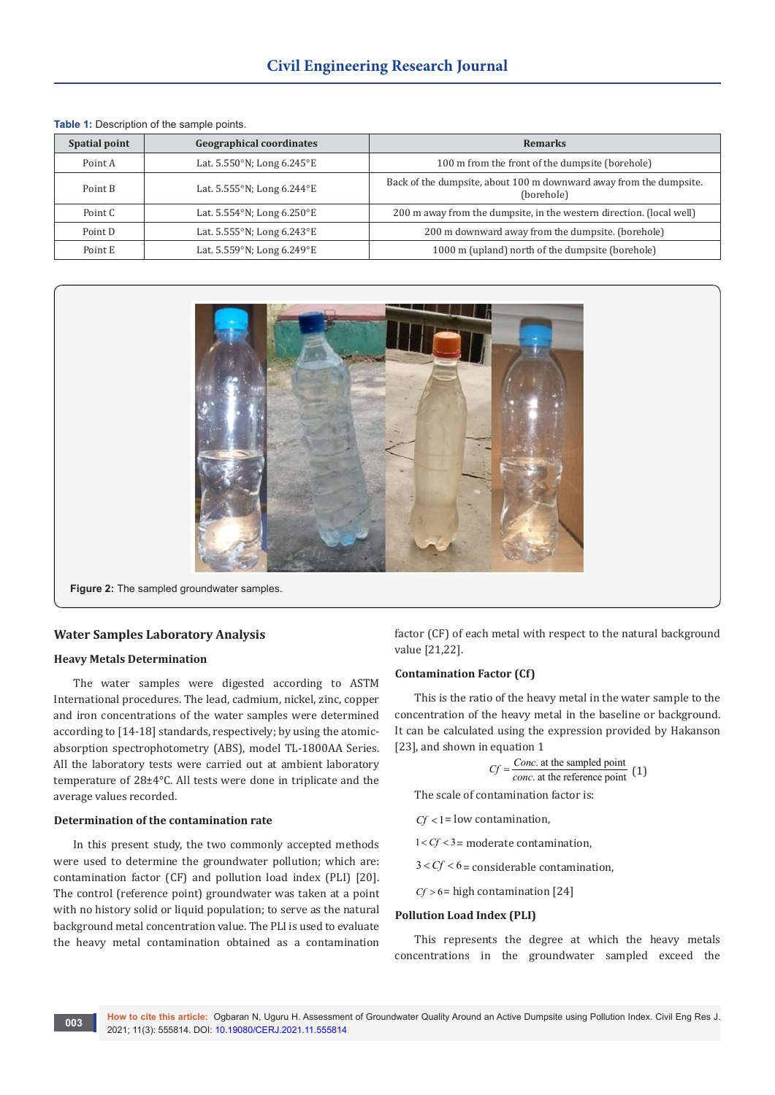| Spatial point | <b>Geographical coordinates</b> | <b>Remarks</b>                                                                   |  |  |  |
|---------------|---------------------------------|----------------------------------------------------------------------------------|--|--|--|
| Point A       | Lat. 5.550°N; Long 6.245°E      | 100 m from the front of the dumpsite (borehole)                                  |  |  |  |
| Point B       | Lat. 5.555°N; Long 6.244°E      | Back of the dumpsite, about 100 m downward away from the dumpsite.<br>(borehole) |  |  |  |
| Point C       | Lat. 5.554°N; Long 6.250°E      | 200 m away from the dumpsite, in the western direction. (local well)             |  |  |  |
| Point D       | Lat. 5.555°N; Long 6.243°E      | 200 m downward away from the dumpsite. (borehole)                                |  |  |  |
| Point E       | Lat. 5.559°N; Long 6.249°E      | 1000 m (upland) north of the dumpsite (borehole)                                 |  |  |  |

**Table 1:** Description of the sample points.



### **Water Samples Laboratory Analysis**

#### **Heavy Metals Determination**

The water samples were digested according to ASTM International procedures. The lead, cadmium, nickel, zinc, copper and iron concentrations of the water samples were determined according to [14-18] standards, respectively; by using the atomicabsorption spectrophotometry (ABS), model TL-1800AA Series. All the laboratory tests were carried out at ambient laboratory temperature of 28±4°C. All tests were done in triplicate and the average values recorded.

#### **Determination of the contamination rate**

In this present study, the two commonly accepted methods were used to determine the groundwater pollution; which are: contamination factor (CF) and pollution load index (PLI) [20]. The control (reference point) groundwater was taken at a point with no history solid or liquid population; to serve as the natural background metal concentration value. The PLI is used to evaluate the heavy metal contamination obtained as a contamination

factor (CF) of each metal with respect to the natural background value [21,22].

#### **Contamination Factor (Cf)**

This is the ratio of the heavy metal in the water sample to the concentration of the heavy metal in the baseline or background. It can be calculated using the expression provided by Hakanson [23], and shown in equation 1

$$
Cf = \frac{Conc. \text{ at the sampled point}}{conc. \text{ at the reference point}} \tag{1}
$$

The scale of contamination factor is:

$$
Cf < 1 =
$$
 low contamination,

 $1 < Cf < 3$  = moderate contamination,

 $3 < Cf < 6 =$  considerable contamination,

 $Cf > 6$  = high contamination [24]

#### **Pollution Load Index (PLI)**

This represents the degree at which the heavy metals concentrations in the groundwater sampled exceed the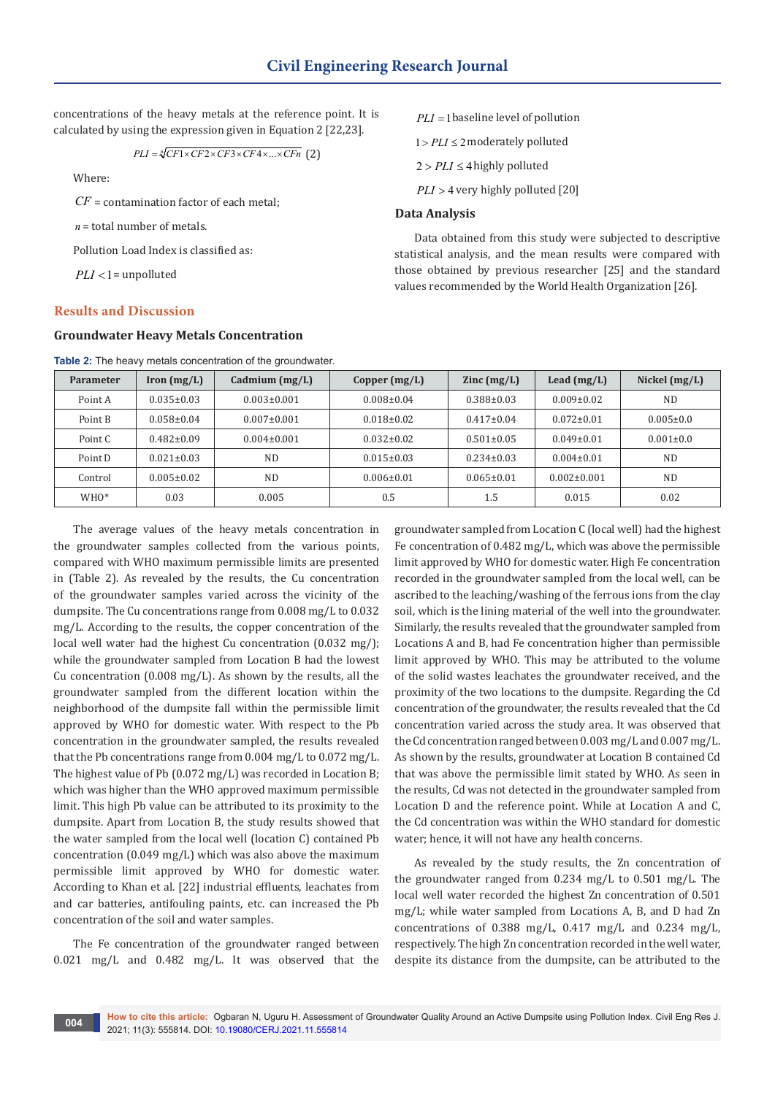concentrations of the heavy metals at the reference point. It is calculated by using the expression given in Equation 2 [22,23].

$$
PLI = \sqrt[n]{CF1 \times CF2 \times CF3 \times CF4 \times ... \times CFn}
$$
 (2)

Where:

*CF* = contamination factor of each metal;

*n* = total number of metals.

Pollution Load Index is classified as:

 $PLI < 1$  = unpolluted

#### **Results and Discussion**

#### **Groundwater Heavy Metals Concentration**

|  | Table 2: The heavy metals concentration of the groundwater. |  |
|--|-------------------------------------------------------------|--|
|  |                                                             |  |

*PLI* =1baseline level of pollution

 $1 > PLI \leq 2$  moderately polluted

 $2 > PLI \leq 4$  highly polluted

*PLI* > 4 very highly polluted [20]

## **Data Analysis**

Data obtained from this study were subjected to descriptive statistical analysis, and the mean results were compared with those obtained by previous researcher [25] and the standard values recommended by the World Health Organization [26].

| Parameter        | $\text{Iron (mg/L)}$ | Cadmium $(mg/L)$  | Copper $(mg/L)$  | $\text{Zinc} \left( \text{mg/L} \right)$ | Lead $(mg/L)$     | Nickel $(mg/L)$ |
|------------------|----------------------|-------------------|------------------|------------------------------------------|-------------------|-----------------|
| Point A          | $0.035 \pm 0.03$     | $0.003 \pm 0.001$ | $0.008 \pm 0.04$ | $0.388 \pm 0.03$                         | $0.009 \pm 0.02$  | <b>ND</b>       |
| Point B          | $0.058 \pm 0.04$     | $0.007 \pm 0.001$ | $0.018 \pm 0.02$ | $0.417 \pm 0.04$                         | $0.072 \pm 0.01$  | $0.005 \pm 0.0$ |
| Point C          | $0.482 \pm 0.09$     | $0.004 \pm 0.001$ | $0.032 \pm 0.02$ | $0.501 \pm 0.05$                         | $0.049 \pm 0.01$  | $0.001 \pm 0.0$ |
| Point D          | $0.021 \pm 0.03$     | <b>ND</b>         | $0.015 \pm 0.03$ | $0.234 \pm 0.03$                         | $0.004 \pm 0.01$  | <b>ND</b>       |
| Control          | $0.005 \pm 0.02$     | N <sub>D</sub>    | $0.006 \pm 0.01$ | $0.065 \pm 0.01$                         | $0.002 \pm 0.001$ | ND              |
| WHO <sup>*</sup> | 0.03                 | 0.005             | 0.5              | 1.5                                      | 0.015             | 0.02            |

The average values of the heavy metals concentration in the groundwater samples collected from the various points, compared with WHO maximum permissible limits are presented in (Table 2). As revealed by the results, the Cu concentration of the groundwater samples varied across the vicinity of the dumpsite. The Cu concentrations range from 0.008 mg/L to 0.032 mg/L. According to the results, the copper concentration of the local well water had the highest Cu concentration (0.032 mg/); while the groundwater sampled from Location B had the lowest Cu concentration (0.008 mg/L). As shown by the results, all the groundwater sampled from the different location within the neighborhood of the dumpsite fall within the permissible limit approved by WHO for domestic water. With respect to the Pb concentration in the groundwater sampled, the results revealed that the Pb concentrations range from 0.004 mg/L to 0.072 mg/L. The highest value of Pb (0.072 mg/L) was recorded in Location B; which was higher than the WHO approved maximum permissible limit. This high Pb value can be attributed to its proximity to the dumpsite. Apart from Location B, the study results showed that the water sampled from the local well (location C) contained Pb concentration (0.049 mg/L) which was also above the maximum permissible limit approved by WHO for domestic water. According to Khan et al. [22] industrial effluents, leachates from and car batteries, antifouling paints, etc. can increased the Pb concentration of the soil and water samples.

The Fe concentration of the groundwater ranged between 0.021 mg/L and 0.482 mg/L. It was observed that the groundwater sampled from Location C (local well) had the highest Fe concentration of 0.482 mg/L, which was above the permissible limit approved by WHO for domestic water. High Fe concentration recorded in the groundwater sampled from the local well, can be ascribed to the leaching/washing of the ferrous ions from the clay soil, which is the lining material of the well into the groundwater. Similarly, the results revealed that the groundwater sampled from Locations A and B, had Fe concentration higher than permissible limit approved by WHO. This may be attributed to the volume of the solid wastes leachates the groundwater received, and the proximity of the two locations to the dumpsite. Regarding the Cd concentration of the groundwater, the results revealed that the Cd concentration varied across the study area. It was observed that the Cd concentration ranged between 0.003 mg/L and 0.007 mg/L. As shown by the results, groundwater at Location B contained Cd that was above the permissible limit stated by WHO. As seen in the results, Cd was not detected in the groundwater sampled from Location D and the reference point. While at Location A and C, the Cd concentration was within the WHO standard for domestic water; hence, it will not have any health concerns.

As revealed by the study results, the Zn concentration of the groundwater ranged from 0.234 mg/L to 0.501 mg/L. The local well water recorded the highest Zn concentration of 0.501 mg/L; while water sampled from Locations A, B, and D had Zn concentrations of 0.388 mg/L, 0.417 mg/L and 0.234 mg/L, respectively. The high Zn concentration recorded in the well water, despite its distance from the dumpsite, can be attributed to the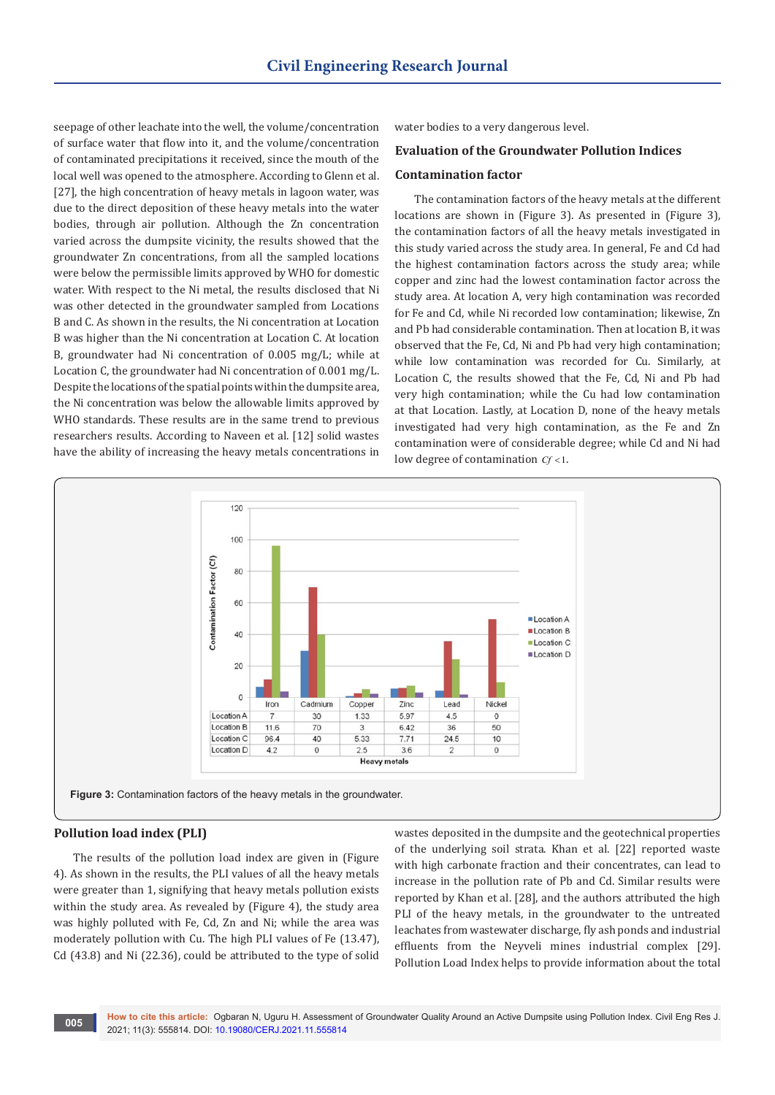seepage of other leachate into the well, the volume/concentration of surface water that flow into it, and the volume/concentration of contaminated precipitations it received, since the mouth of the local well was opened to the atmosphere. According to Glenn et al. [27], the high concentration of heavy metals in lagoon water, was due to the direct deposition of these heavy metals into the water bodies, through air pollution. Although the Zn concentration varied across the dumpsite vicinity, the results showed that the groundwater Zn concentrations, from all the sampled locations were below the permissible limits approved by WHO for domestic water. With respect to the Ni metal, the results disclosed that Ni was other detected in the groundwater sampled from Locations B and C. As shown in the results, the Ni concentration at Location B was higher than the Ni concentration at Location C. At location B, groundwater had Ni concentration of 0.005 mg/L; while at Location C, the groundwater had Ni concentration of 0.001 mg/L. Despite the locations of the spatial points within the dumpsite area, the Ni concentration was below the allowable limits approved by WHO standards. These results are in the same trend to previous researchers results. According to Naveen et al. [12] solid wastes have the ability of increasing the heavy metals concentrations in

water bodies to a very dangerous level.

# **Evaluation of the Groundwater Pollution Indices**

#### **Contamination factor**

The contamination factors of the heavy metals at the different locations are shown in (Figure 3). As presented in (Figure 3), the contamination factors of all the heavy metals investigated in this study varied across the study area. In general, Fe and Cd had the highest contamination factors across the study area; while copper and zinc had the lowest contamination factor across the study area. At location A, very high contamination was recorded for Fe and Cd, while Ni recorded low contamination; likewise, Zn and Pb had considerable contamination. Then at location B, it was observed that the Fe, Cd, Ni and Pb had very high contamination; while low contamination was recorded for Cu. Similarly, at Location C, the results showed that the Fe, Cd, Ni and Pb had very high contamination; while the Cu had low contamination at that Location. Lastly, at Location D, none of the heavy metals investigated had very high contamination, as the Fe and Zn contamination were of considerable degree; while Cd and Ni had low degree of contamination *Cf* <1.



### **Pollution load index (PLI)**

The results of the pollution load index are given in (Figure 4). As shown in the results, the PLI values of all the heavy metals were greater than 1, signifying that heavy metals pollution exists within the study area. As revealed by (Figure 4), the study area was highly polluted with Fe, Cd, Zn and Ni; while the area was moderately pollution with Cu. The high PLI values of Fe (13.47), Cd (43.8) and Ni (22.36), could be attributed to the type of solid

wastes deposited in the dumpsite and the geotechnical properties of the underlying soil strata. Khan et al. [22] reported waste with high carbonate fraction and their concentrates, can lead to increase in the pollution rate of Pb and Cd. Similar results were reported by Khan et al. [28], and the authors attributed the high PLI of the heavy metals, in the groundwater to the untreated leachates from wastewater discharge, fly ash ponds and industrial effluents from the Neyveli mines industrial complex [29]. Pollution Load Index helps to provide information about the total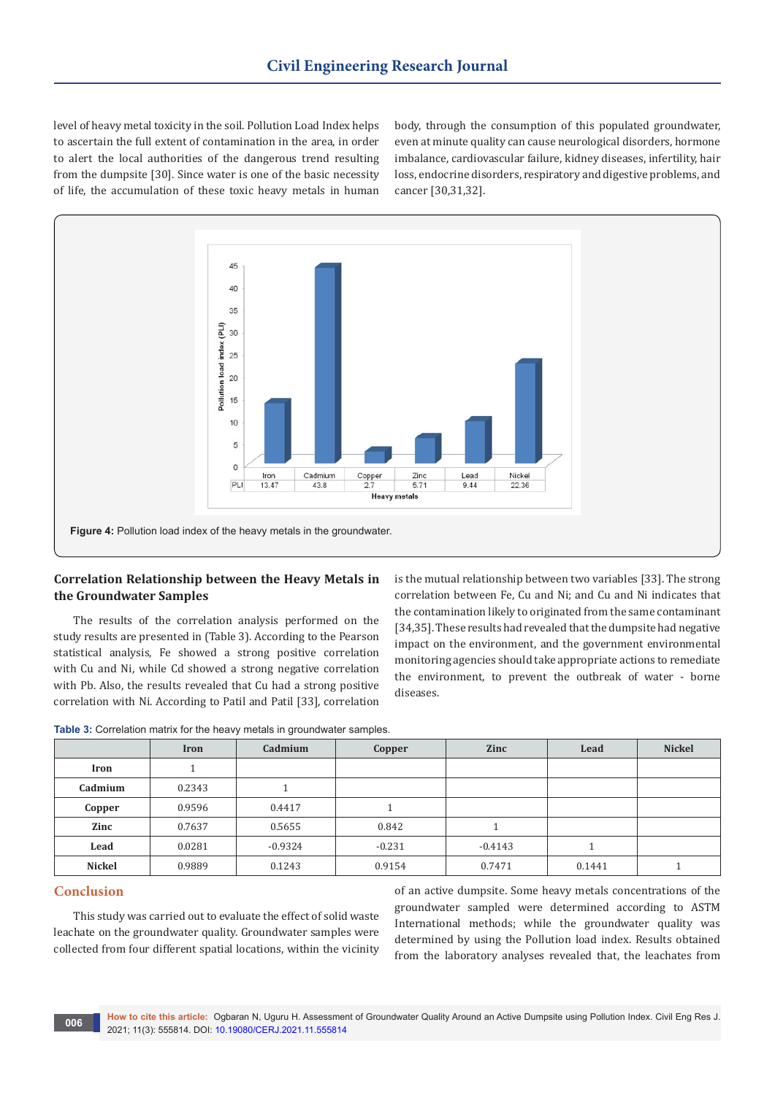level of heavy metal toxicity in the soil. Pollution Load Index helps to ascertain the full extent of contamination in the area, in order to alert the local authorities of the dangerous trend resulting from the dumpsite [30]. Since water is one of the basic necessity of life, the accumulation of these toxic heavy metals in human

body, through the consumption of this populated groundwater, even at minute quality can cause neurological disorders, hormone imbalance, cardiovascular failure, kidney diseases, infertility, hair loss, endocrine disorders, respiratory and digestive problems, and cancer [30,31,32].



# **Correlation Relationship between the Heavy Metals in the Groundwater Samples**

The results of the correlation analysis performed on the study results are presented in (Table 3). According to the Pearson statistical analysis, Fe showed a strong positive correlation with Cu and Ni, while Cd showed a strong negative correlation with Pb. Also, the results revealed that Cu had a strong positive correlation with Ni. According to Patil and Patil [33], correlation

is the mutual relationship between two variables [33]. The strong correlation between Fe, Cu and Ni; and Cu and Ni indicates that the contamination likely to originated from the same contaminant [34,35]. These results had revealed that the dumpsite had negative impact on the environment, and the government environmental monitoring agencies should take appropriate actions to remediate the environment, to prevent the outbreak of water - borne diseases.

|         | <b>Iron</b> | Cadmium   | Copper   | <b>Zinc</b> | Lead   | <b>Nickel</b> |
|---------|-------------|-----------|----------|-------------|--------|---------------|
| Iron    |             |           |          |             |        |               |
| Cadmium | 0.2343      |           |          |             |        |               |
| Copper  | 0.9596      | 0.4417    |          |             |        |               |
| Zinc    | 0.7637      | 0.5655    | 0.842    |             |        |               |
| Lead    | 0.0281      | $-0.9324$ | $-0.231$ | $-0.4143$   |        |               |
| Nickel  | 0.9889      | 0.1243    | 0.9154   | 0.7471      | 0.1441 |               |

**Table 3:** Correlation matrix for the heavy metals in groundwater samples.

# **Conclusion**

This study was carried out to evaluate the effect of solid waste leachate on the groundwater quality. Groundwater samples were collected from four different spatial locations, within the vicinity

of an active dumpsite. Some heavy metals concentrations of the groundwater sampled were determined according to ASTM International methods; while the groundwater quality was determined by using the Pollution load index. Results obtained from the laboratory analyses revealed that, the leachates from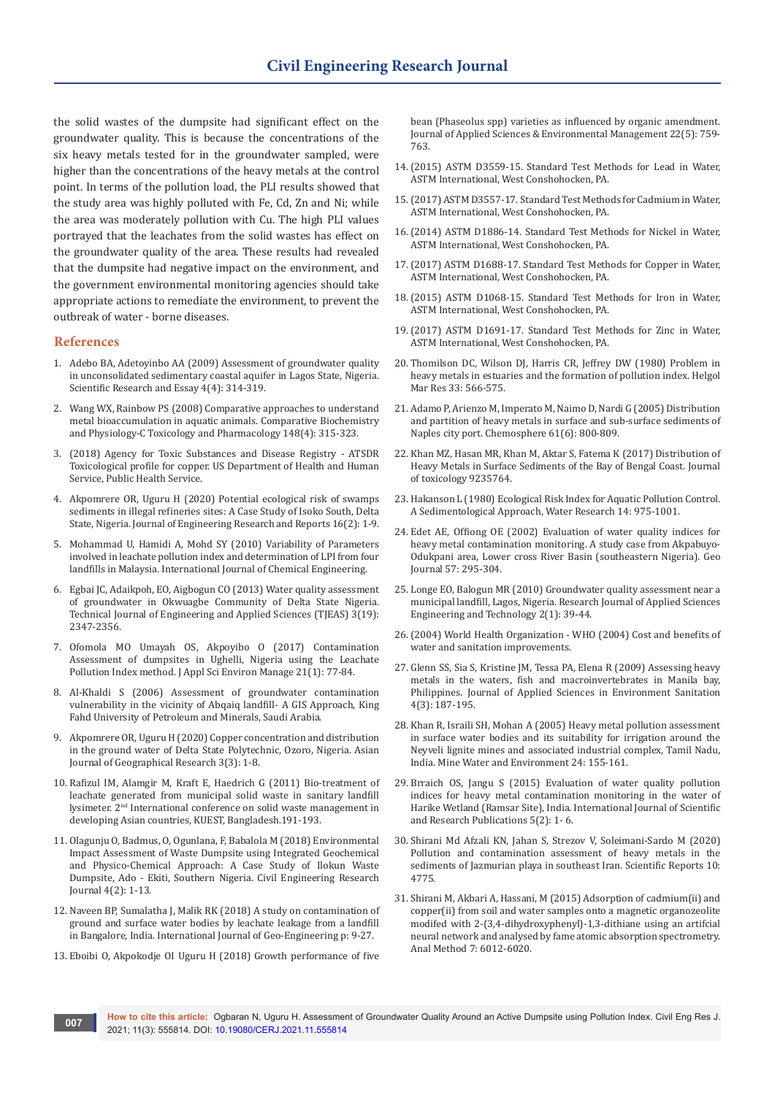the solid wastes of the dumpsite had significant effect on the groundwater quality. This is because the concentrations of the six heavy metals tested for in the groundwater sampled, were higher than the concentrations of the heavy metals at the control point. In terms of the pollution load, the PLI results showed that the study area was highly polluted with Fe, Cd, Zn and Ni; while the area was moderately pollution with Cu. The high PLI values portrayed that the leachates from the solid wastes has effect on the groundwater quality of the area. These results had revealed that the dumpsite had negative impact on the environment, and the government environmental monitoring agencies should take appropriate actions to remediate the environment, to prevent the outbreak of water - borne diseases.

#### **References**

- 1. [Adebo BA, Adetoyinbo AA \(2009\) Assessment of groundwater quality](http://www.academicjournals.org/app/webroot/article/article1380802460_Adebo%20and%20Adetoyinbo.pdf)  [in unconsolidated sedimentary coastal aquifer in Lagos State, Nigeria.](http://www.academicjournals.org/app/webroot/article/article1380802460_Adebo%20and%20Adetoyinbo.pdf)  [Scientific Research and Essay 4\(4\): 314-319.](http://www.academicjournals.org/app/webroot/article/article1380802460_Adebo%20and%20Adetoyinbo.pdf)
- 2. [Wang WX, Rainbow PS \(2008\) Comparative approaches to understand](https://www.sciencedirect.com/science/article/abs/pii/S1532045608000677)  [metal bioaccumulation in aquatic animals. Comparative Biochemistry](https://www.sciencedirect.com/science/article/abs/pii/S1532045608000677)  [and Physiology-C Toxicology and Pharmacology 148\(4\): 315-323.](https://www.sciencedirect.com/science/article/abs/pii/S1532045608000677)
- 3. (2018) Agency for Toxic Substances and Disease Registry ATSDR Toxicological profile for copper. US Department of Health and Human Service, Public Health Service.
- 4. [Akpomrere OR, Uguru H \(2020\) Potential ecological risk of swamps](https://www.journaljerr.com/index.php/JERR/article/view/17160)  [sediments in illegal refineries sites: A Case Study of Isoko South, Delta](https://www.journaljerr.com/index.php/JERR/article/view/17160)  [State, Nigeria. Journal of Engineering Research and Reports 16\(2\): 1-9.](https://www.journaljerr.com/index.php/JERR/article/view/17160)
- 5. [Mohammad U, Hamidi A, Mohd SY \(2010\) Variability of Parameters](https://www.hindawi.com/journals/ijce/2010/747953/)  [involved in leachate pollution index and determination of LPI from four](https://www.hindawi.com/journals/ijce/2010/747953/)  [landfills in Malaysia. International Journal of Chemical Engineering.](https://www.hindawi.com/journals/ijce/2010/747953/)
- 6. Egbai JC, Adaikpoh, EO, Aigbogun CO (2013) Water quality assessment of groundwater in Okwuagbe Community of Delta State Nigeria. Technical Journal of Engineering and Applied Sciences (TJEAS) 3(19): 2347-2356.
- 7. [Ofomola MO Umayah OS, Akpoyibo O \(2017\) Contamination](https://www.ajol.info/index.php/jasem/article/view/152747)  [Assessment of dumpsites in Ughelli, Nigeria using the Leachate](https://www.ajol.info/index.php/jasem/article/view/152747)  [Pollution Index method. J Appl Sci Environ Manage 21\(1\): 77-84.](https://www.ajol.info/index.php/jasem/article/view/152747)
- 8. Al-Khaldi S (2006) Assessment of groundwater contamination vulnerability in the vicinity of Abqaiq landfill- A GIS Approach, King Fahd University of Petroleum and Minerals, Saudi Arabia.
- 9. [Akpomrere OR, Uguru H \(2020\) Copper concentration and distribution](https://journalajgr.com/index.php/AJGR/article/view/30106)  [in the ground water of Delta State Polytechnic, Ozoro, Nigeria. Asian](https://journalajgr.com/index.php/AJGR/article/view/30106)  [Journal of Geographical Research 3\(3\): 1-8.](https://journalajgr.com/index.php/AJGR/article/view/30106)
- 10. Rafizul IM, Alamgir M, Kraft E, Haedrich G (2011) Bio-treatment of leachate generated from municipal solid waste in sanitary landfill lysimeter. 2nd International conference on solid waste management in developing Asian countries, KUEST, Bangladesh.191-193.
- 11. [Olagunju O, Badmus, O, Ogunlana, F, Babalola M \(2018\) Environmental](https://juniperpublishers.com/cerj/pdf/CERJ.MS.ID.555631.pdf)  [Impact Assessment of Waste Dumpsite using Integrated Geochemical](https://juniperpublishers.com/cerj/pdf/CERJ.MS.ID.555631.pdf)  [and Physico-Chemical Approach: A Case Study of Ilokun Waste](https://juniperpublishers.com/cerj/pdf/CERJ.MS.ID.555631.pdf)  [Dumpsite, Ado - Ekiti, Southern Nigeria. Civil Engineering Research](https://juniperpublishers.com/cerj/pdf/CERJ.MS.ID.555631.pdf)  [Journal 4\(2\): 1-13.](https://juniperpublishers.com/cerj/pdf/CERJ.MS.ID.555631.pdf)
- 12. [Naveen BP, Sumalatha J, Malik RK \(2018\) A study on contamination of](https://link.springer.com/content/pdf/10.1186/s40703-018-0095-x.pdf)  [ground and surface water bodies by leachate leakage from a landfill](https://link.springer.com/content/pdf/10.1186/s40703-018-0095-x.pdf)  [in Bangalore, India. International Journal of Geo-Engineering p: 9-27.](https://link.springer.com/content/pdf/10.1186/s40703-018-0095-x.pdf)
- 13. [Eboibi O, Akpokodje OI Uguru H \(2018\) Growth performance of five](http://www.bioline.org.br/abstract?id=ja18135&lang=en)

[bean \(Phaseolus spp\) varieties as influenced by organic amendment.](http://www.bioline.org.br/abstract?id=ja18135&lang=en)  [Journal of Applied Sciences & Environmental Management 22\(5\): 759-](http://www.bioline.org.br/abstract?id=ja18135&lang=en) [763.](http://www.bioline.org.br/abstract?id=ja18135&lang=en)

- 14.[\(2015\) ASTM D3559-15. Standard Test Methods for Lead in Water,](https://www.astm.org/Standards/D3559.htm)  [ASTM International, West Conshohocken, PA.](https://www.astm.org/Standards/D3559.htm)
- 15.[\(2017\) ASTM D3557-17. Standard Test Methods for Cadmium in Water,](https://www.astm.org/Standards/D3557.htm)  [ASTM International, West Conshohocken, PA.](https://www.astm.org/Standards/D3557.htm)
- 16.[\(2014\) ASTM D1886-14. Standard Test Methods for Nickel in Water,](https://www.astm.org/Standards/D1886.htm)  [ASTM International, West Conshohocken, PA.](https://www.astm.org/Standards/D1886.htm)
- 17.[\(2017\) ASTM D1688-17. Standard Test Methods for Copper in Water,](https://www.astm.org/Standards/D1688.htm)  [ASTM International, West Conshohocken, PA.](https://www.astm.org/Standards/D1688.htm)
- 18.[\(2015\) ASTM D1068-15. Standard Test Methods for Iron in Water,](https://www.astm.org/Standards/D1068.htm)  [ASTM International, West Conshohocken, PA.](https://www.astm.org/Standards/D1068.htm)
- 19.[\(2017\) ASTM D1691-17. Standard Test Methods for Zinc in Water,](https://www.astm.org/Standards/D1691.htm)  [ASTM International, West Conshohocken, PA.](https://www.astm.org/Standards/D1691.htm)
- 20. [Thomilson DC, Wilson DJ, Harris CR, Jeffrey DW \(1980\) Problem in](https://hmr.biomedcentral.com/articles/10.1007/BF02414780)  [heavy metals in estuaries and the formation of pollution index. Helgol](https://hmr.biomedcentral.com/articles/10.1007/BF02414780)  [Mar Res 33: 566-575.](https://hmr.biomedcentral.com/articles/10.1007/BF02414780)
- 21. [Adamo P, Arienzo M, Imperato M, Naimo D, Nardi G \(2005\) Distribution](https://www.sciencedirect.com/science/article/abs/pii/S0045653505005047)  [and partition of heavy metals in surface and sub-surface sediments of](https://www.sciencedirect.com/science/article/abs/pii/S0045653505005047)  [Naples city port. Chemosphere 61\(6\): 800-809](https://www.sciencedirect.com/science/article/abs/pii/S0045653505005047).
- 22. [Khan MZ, Hasan MR, Khan M, Aktar S, Fatema K \(2017\) Distribution of](https://www.hindawi.com/journals/jt/2017/9235764/)  [Heavy Metals in Surface Sediments of the Bay of Bengal Coast. Journal](https://www.hindawi.com/journals/jt/2017/9235764/)  [of toxicology 9235764.](https://www.hindawi.com/journals/jt/2017/9235764/)
- 23. Hakanson L (1980) Ecological Risk Index for Aquatic Pollution Control. A Sedimentological Approach, Water Research 14: 975-1001.
- 24. [Edet AE, Offiong OE \(2002\) Evaluation of water quality indices for](https://link.springer.com/article/10.1023/B:GEJO.0000007250.92458.de)  [heavy metal contamination monitoring. A study case from Akpabuyo-](https://link.springer.com/article/10.1023/B:GEJO.0000007250.92458.de)[Odukpani area, Lower cross River Basin \(southeastern Nigeria\). Geo](https://link.springer.com/article/10.1023/B:GEJO.0000007250.92458.de)  [Journal 57: 295-304.](https://link.springer.com/article/10.1023/B:GEJO.0000007250.92458.de)
- 25. [Longe EO, Balogun MR \(2010\) Groundwater quality assessment near a](http://citeseerx.ist.psu.edu/viewdoc/download?doi=10.1.1.466.8945&rep=rep1&type=pdf)  [municipal landfill, Lagos, Nigeria. Research Journal of Applied Sciences](http://citeseerx.ist.psu.edu/viewdoc/download?doi=10.1.1.466.8945&rep=rep1&type=pdf)  [Engineering and Technology 2\(1\): 39-44.](http://citeseerx.ist.psu.edu/viewdoc/download?doi=10.1.1.466.8945&rep=rep1&type=pdf)
- 26.(2004) World Health Organization WHO (2004) Cost and benefits of water and sanitation improvements.
- 27. Glenn SS, Sia S, Kristine JM, Tessa PA, Elena R (2009) Assessing heavy metals in the waters, fish and macroinvertebrates in Manila bay, Philippines. Journal of Applied Sciences in Environment Sanitation 4(3): 187-195.
- 28. [Khan R, Israili SH, Mohan A \(2005\) Heavy metal pollution assessment](https://link.springer.com/article/10.1007/s10230-005-0087-x)  [in surface water bodies and its suitability for irrigation around the](https://link.springer.com/article/10.1007/s10230-005-0087-x)  [Neyveli lignite mines and associated industrial complex, Tamil Nadu,](https://link.springer.com/article/10.1007/s10230-005-0087-x)  [India. Mine Water and Environment 24: 155-161.](https://link.springer.com/article/10.1007/s10230-005-0087-x)
- 29. [Brraich OS, Jangu S \(2015\) Evaluation of water quality pollution](http://www.ijsrp.org/research-paper-0215.php?rp=P383729)  [indices for heavy metal contamination monitoring in the water of](http://www.ijsrp.org/research-paper-0215.php?rp=P383729)  [Harike Wetland \(Ramsar Site\), India. International Journal of Scientific](http://www.ijsrp.org/research-paper-0215.php?rp=P383729)  [and Research Publications 5\(2\): 1- 6.](http://www.ijsrp.org/research-paper-0215.php?rp=P383729)
- 30. [Shirani Md Afzali KN, Jahan S, Strezov V, Soleimani-Sardo M \(2020\)](https://www.nature.com/articles/s41598-020-61838-x)  [Pollution and contamination assessment of heavy metals in the](https://www.nature.com/articles/s41598-020-61838-x)  [sediments of Jazmurian playa in southeast Iran. Scientific Reports 10:](https://www.nature.com/articles/s41598-020-61838-x)  [4775.](https://www.nature.com/articles/s41598-020-61838-x)
- 31. Shirani M, Akbari A, Hassani, M (2015) Adsorption of cadmium(ii) and copper(ii) from soil and water samples onto a magnetic organozeolite modifed with 2-(3,4-dihydroxyphenyl)-1,3-dithiane using an artifcial neural network and analysed by fame atomic absorption spectrometry. Anal Method 7: 6012-6020.